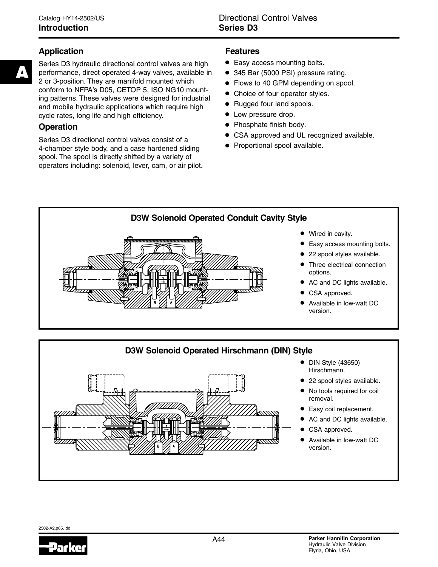# **Application**

**A**

Series D3 hydraulic directional control valves are high performance, direct operated 4-way valves, available in 2 or 3-position. They are manifold mounted which conform to NFPA's D05, CETOP 5, ISO NG10 mounting patterns. These valves were designed for industrial and mobile hydraulic applications which require high cycle rates, long life and high efficiency.

# **Operation**

Series D3 directional control valves consist of a 4-chamber style body, and a case hardened sliding spool. The spool is directly shifted by a variety of operators including: solenoid, lever, cam, or air pilot.

# **Features**

- **•** Easy access mounting bolts.
- **•** 345 Bar (5000 PSI) pressure rating.
- **•** Flows to 40 GPM depending on spool.
- **•** Choice of four operator styles.
- **•** Rugged four land spools.
- **•** Low pressure drop.
- **•** Phosphate finish body.
- **•** CSA approved and UL recognized available.
- **•** Proportional spool available.





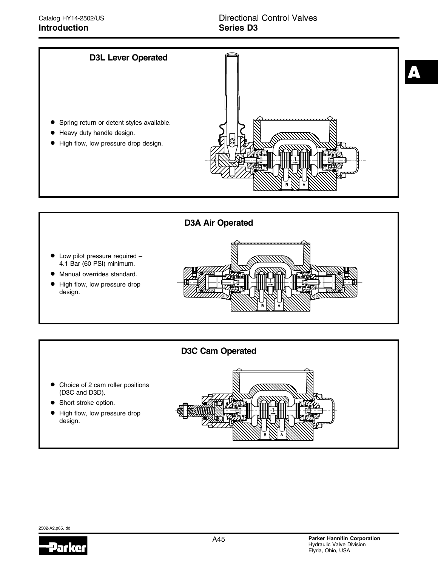



# **D3C Cam Operated**

- **•** Choice of 2 cam roller positions (D3C and D3D).
- **•** Short stroke option.
- **•** High flow, low pressure drop design.



2502-A2.p65, dd

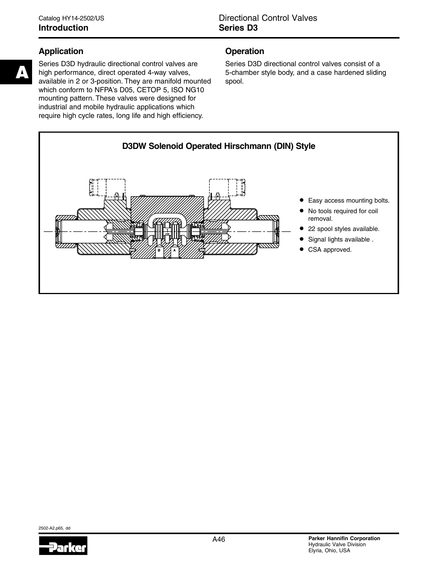# **Application**

Series D3D hydraulic directional control valves are high performance, direct operated 4-way valves, available in 2 or 3-position. They are manifold mounted which conform to NFPA's D05, CETOP 5, ISO NG10 mounting pattern. These valves were designed for industrial and mobile hydraulic applications which require high cycle rates, long life and high efficiency.

# **Operation**

Series D3D directional control valves consist of a 5-chamber style body, and a case hardened sliding spool.



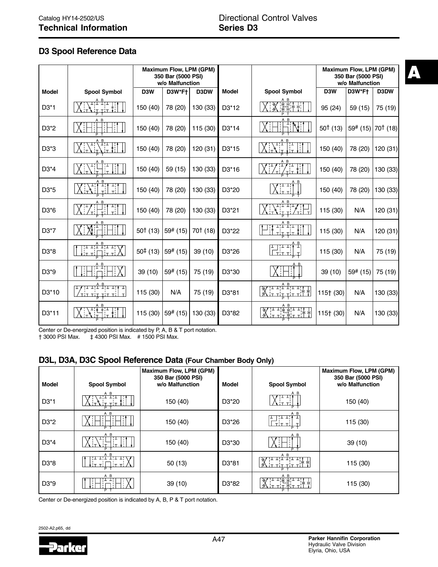# **D3 Spool Reference Data**

|                    |                                                                                                | Maximum Flow, LPM (GPM)<br>350 Bar (5000 PSI)<br>w/o Malfunction |                |            |                    | Maximum Flow, LPM (GPM)<br>350 Bar (5000 PSI)<br>w/o Malfunction         |            |          |                                 |
|--------------------|------------------------------------------------------------------------------------------------|------------------------------------------------------------------|----------------|------------|--------------------|--------------------------------------------------------------------------|------------|----------|---------------------------------|
| <b>Model</b>       | <b>Spool Symbol</b>                                                                            | D <sub>3</sub> W                                                 | D3W*Ft         | D3DW       | Model              | <b>Spool Symbol</b>                                                      | D3W        | D3W*Ft   | D3DW                            |
| $D3*1$             | A B<br>I¦I I¦I                                                                                 | 150 (40)                                                         | 78 (20)        | 130 (33)   | D3*12              | A B                                                                      | 95 (24)    | 59 (15)  | 75 (19)                         |
| D3*2               | A B                                                                                            | 150 (40)                                                         | 78 (20)        | 115 (30)   | D <sub>3</sub> *14 | A <sub>B</sub><br>P                                                      | $50†$ (13) |          | 59# (15)   70 <sup>†</sup> (18) |
| D3*3               | A B                                                                                            | 150 (40)                                                         | 78 (20)        | 120 (31)   | D <sub>3</sub> *15 | A B<br>π                                                                 | 150 (40)   | 78 (20)  | 120 (31)                        |
| $D3*4$             | A B                                                                                            | 150 (40)                                                         | 59 (15)        | 130 (33)   | D <sub>3</sub> *16 | P                                                                        | 150 (40)   | 78 (20)  | 130 (33)                        |
| D <sub>3</sub> *5  |                                                                                                | 150 (40)                                                         | 78 (20)        | 130 (33)   | D3*20              |                                                                          | 150 (40)   | 78 (20)  | 130 (33)                        |
| D3*6               | A B                                                                                            | 150 (40)                                                         | 78 (20)        | 130 (33)   | D <sub>3</sub> *21 | A B<br>エエエエフ                                                             | 115 (30)   | N/A      | 120 (31)                        |
| D3*7               | A B                                                                                            | $50†$ (13)                                                       | $59^{\#}$ (15) | $70†$ (18) | D3*22              | A B<br>エトエコトエ<br>$\mathsf{T}$<br>P                                       | 115 (30)   | N/A      | 120 (31)                        |
| D3*8               | A B<br>エエエエエ                                                                                   | $50‡$ (13)                                                       | 59# (15)       | 39 (10)    | D3*26              | 71 I.V<br>ᆂ<br>T<br>$\tau$ i $\tau$<br>$\tau$ !<br>T.                    | 115 (30)   | N/A      | 75 (19)                         |
| D3*9               | A B<br>TТ                                                                                      | 39 (10)                                                          | 59# (15)       | 75 (19)    | D3*30              | A B                                                                      | 39 (10)    | 59# (15) | 75 (19)                         |
| D <sub>3</sub> *10 | <del>;ı ı;î Î;ı ı; , ı</del><br>∓<br>$T$ $T$ $T$ $T$ $T$ $T$ $T$ $T$ $T$ $T$<br>$\vert$ T<br>P | 115 (30)                                                         | N/A            | 75 (19)    | D3*81              | A B<br><del>׀┵╺╿<sup>ᡠ</sup>╺╿╸╺╿</del><br>╎┯╶┽┥┯╶┥┯╶┽ <sup>┆</sup><br>₩ | 115† (30)  | N/A      | 130 (33)                        |
| D <sub>3</sub> *11 | A B                                                                                            | 115 (30)                                                         | 59# (15)       | 130 (33)   | D <sub>3</sub> *82 | A B                                                                      | 115† (30)  | N/A      | 130 (33)                        |

Center or De-energized position is indicated by P, A, B & T port notation.<br>† 3000 PSI Max.  $\pm$  4300 PSI Max. # 1500 PSI Max.

† 3000 PSI Max. ‡ 4300 PSI Max. # 1500 PSI Max.

# **D3L, D3A, D3C Spool Reference Data (Four Chamber Body Only)**

| <b>Model</b>                  | <b>Spool Symbol</b> | Maximum Flow, LPM (GPM)<br>350 Bar (5000 PSI)<br>w/o Malfunction | <b>Model</b>       | <b>Spool Symbol</b> | Maximum Flow, LPM (GPM)<br>350 Bar (5000 PSI)<br>w/o Malfunction |
|-------------------------------|---------------------|------------------------------------------------------------------|--------------------|---------------------|------------------------------------------------------------------|
| $D3*1$                        | A B                 | 150 (40)                                                         | D <sub>3</sub> *20 | A B<br>D            | 150 (40)                                                         |
| D <sub>3</sub> <sup>*</sup> 2 | A B<br>$P$ T        | 150 (40)                                                         | D <sub>3</sub> *26 | A B<br>P            | 115 (30)                                                         |
| $D3*4$                        | A B<br>D            | 150 (40)                                                         | D <sub>3</sub> *30 | A B                 | 39(10)                                                           |
| D <sub>3</sub> <sup>*</sup> 8 | A B                 | 50(13)                                                           | D <sub>3</sub> *81 | A B<br>D            | 115 (30)                                                         |
| D <sub>3</sub> *9             | A B<br>P            | 39(10)                                                           | D <sub>3</sub> *82 | A B                 | 115 (30)                                                         |

Center or De-energized position is indicated by A, B, P & T port notation.

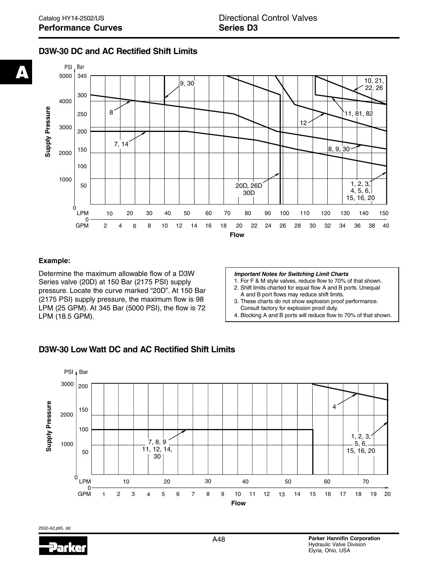# **D3W-30 DC and AC Rectified Shift Limits**



#### **Example:**

Determine the maximum allowable flow of a D3W Series valve (20D) at 150 Bar (2175 PSI) supply pressure. Locate the curve marked "20D". At 150 Bar (2175 PSI) supply pressure, the maximum flow is 98 LPM (25 GPM). At 345 Bar (5000 PSI), the flow is 72 LPM (18.5 GPM).

#### **Important Notes for Switching Limit Charts**

- 1. For F & M style valves, reduce flow to 70% of that shown. 2. Shift limits charted for equal flow A and B ports. Unequal
- A and B port flows may reduce shift limits.
- 3. These charts do not show explosion proof performance. Consult factory for explosion proof duty.
- 4. Blocking A and B ports will reduce flow to 70% of that shown.

### **D3W-30 Low Watt DC and AC Rectified Shift Limits**



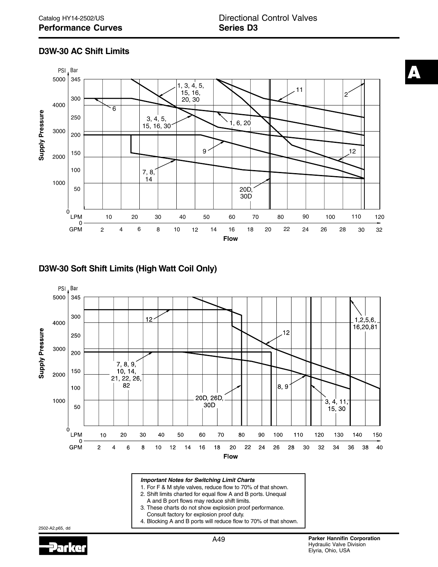# **D3W-30 AC Shift Limits**



# **D3W-30 Soft Shift Limits (High Watt Coil Only)**



- 
- 2. Shift limits charted for equal flow A and B ports. Unequal A and B port flows may reduce shift limits.
- 3. These charts do not show explosion proof performance.
- Consult factory for explosion proof duty.
- 4. Blocking A and B ports will reduce flow to 70% of that shown.

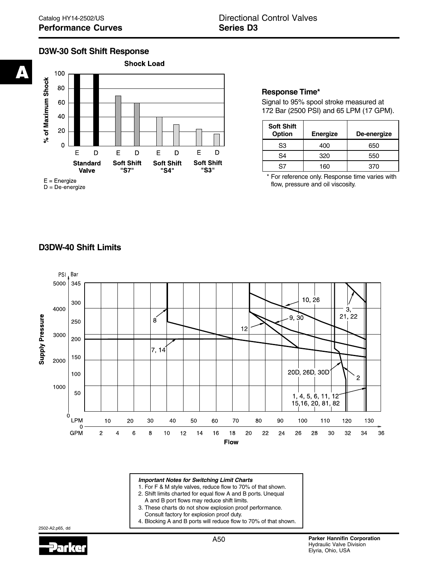# **D3W-30 Soft Shift Response**



**Response Time\***

Signal to 95% spool stroke measured at 172 Bar (2500 PSI) and 65 LPM (17 GPM).

| <b>Soft Shift</b><br><b>Option</b> | <b>Energize</b> | De-energize |
|------------------------------------|-----------------|-------------|
| S3                                 | 400             | 650         |
| S4                                 | 320             | 550         |
| 97                                 | 160             | 370         |

\* For reference only. Response time varies with flow, pressure and oil viscosity.

# **D3DW-40 Shift Limits**



#### **Important Notes for Switching Limit Charts**

- 1. For F & M style valves, reduce flow to 70% of that shown.
- 2. Shift limits charted for equal flow A and B ports. Unequal
	- A and B port flows may reduce shift limits.
- 3. These charts do not show explosion proof performance. Consult factory for explosion proof duty.
- 4. Blocking A and B ports will reduce flow to 70% of that shown.

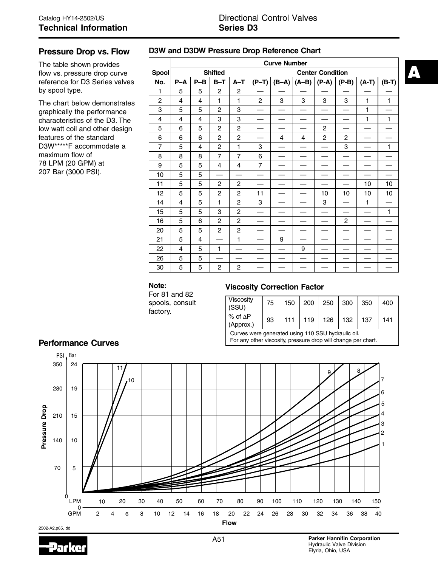#### **Pressure Drop vs. Flow**

The table shown provides flow vs. pressure drop curve reference for D3 Series valves by spool type.

The chart below demonstrates graphically the performance characteristics of the D3. The low watt coil and other design features of the standard D3W\*\*\*\*\*F accommodate a maximum flow of 78 LPM (20 GPM) at 207 Bar (3000 PSI).

### **D3W and D3DW Pressure Drop Reference Chart**

|                |                | <b>Curve Number</b> |                |                |                         |   |                         |                |                |         |         |
|----------------|----------------|---------------------|----------------|----------------|-------------------------|---|-------------------------|----------------|----------------|---------|---------|
| <b>Spool</b>   |                | <b>Shifted</b>      |                |                | <b>Center Condition</b> |   |                         |                |                |         |         |
| No.            | $P-A$          | $P-B$               | $B-T$          | $A-T$          | $(P-T)$                 |   | $(B-A)$ $(A-B)$ $(P-A)$ |                | $(P-B)$        | $(A-T)$ | $(B-T)$ |
| 1              | 5              | 5                   | $\overline{2}$ | $\overline{2}$ |                         |   |                         |                |                |         |         |
| $\overline{c}$ | $\overline{4}$ | 4                   | 1              | 1              | $\overline{2}$          | 3 | 3                       | 3              | 3              | 1       | 1       |
| 3              | 5              | 5                   | $\overline{c}$ | 3              |                         |   |                         |                |                | 1       |         |
| $\overline{4}$ | 4              | 4                   | 3              | 3              |                         |   |                         |                |                | 1       | 1       |
| 5              | 6              | 5                   | $\overline{c}$ | $\overline{c}$ |                         |   |                         | $\overline{c}$ |                |         |         |
| 6              | 6              | 6                   | $\overline{c}$ | 2              |                         | 4 | $\overline{4}$          | $\overline{c}$ | 2              |         |         |
| $\overline{7}$ | 5              | 4                   | $\overline{c}$ | $\mathbf{1}$   | 3                       |   |                         |                | 3              |         | 1       |
| 8              | 8              | 8                   | $\overline{7}$ | $\overline{7}$ | 6                       |   |                         |                |                |         |         |
| 9              | 5              | 5                   | 4              | 4              | $\overline{7}$          |   |                         |                |                |         |         |
| 10             | 5              | 5                   |                |                |                         |   |                         |                |                |         |         |
| 11             | 5              | 5                   | $\overline{c}$ | $\overline{c}$ |                         |   |                         |                |                | 10      | 10      |
| 12             | 5              | 5                   | $\overline{2}$ | $\overline{c}$ | 11                      |   |                         | 10             | 10             | 10      | 10      |
| 14             | 4              | 5                   | 1              | $\overline{c}$ | 3                       |   |                         | 3              |                | 1       |         |
| 15             | 5              | 5                   | 3              | $\overline{c}$ |                         |   |                         |                |                |         | 1       |
| 16             | 5              | 6                   | $\overline{c}$ | $\overline{c}$ |                         |   |                         |                | $\overline{c}$ |         |         |
| 20             | 5              | 5                   | $\overline{2}$ | $\overline{c}$ |                         |   |                         |                |                |         |         |
| 21             | 5              | 4                   |                | $\mathbf{1}$   |                         | 9 |                         |                |                |         |         |
| 22             | 4              | 5                   | 1              |                |                         |   | 9                       |                |                |         |         |
| 26             | 5              | 5                   |                |                |                         |   |                         |                |                |         |         |
| 30             | 5              | 5                   | $\overline{c}$ | $\overline{c}$ |                         |   |                         |                |                |         |         |

# **Note:**

For 81 and 82 spools, consult factory.

#### **Viscosity Correction Factor**

| Viscosity<br>(SSU)                                | 75 | 150 | 200 | 250 | $\vert$ 300 | 350 | 400 |
|---------------------------------------------------|----|-----|-----|-----|-------------|-----|-----|
| $%$ of $\Delta P$<br>(Approx.)                    | 93 | 111 | 119 | 126 | 132         | 137 | 141 |
| Curves were generated using 110 SSU bydraulic oil |    |     |     |     |             |     |     |

 Curves were generated using 110 SSU hydraulic oil. For any other viscosity, pressure drop will change per chart.



### **Performance Curves**



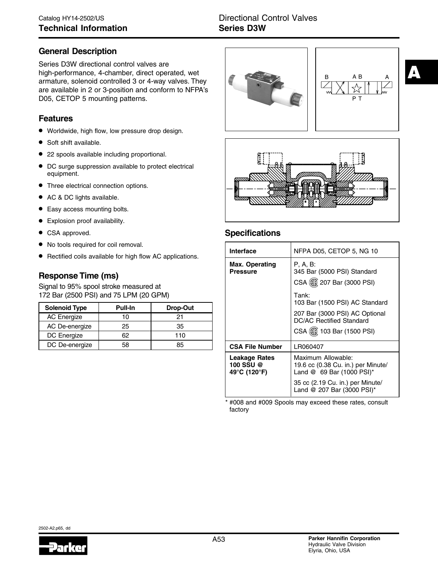# **General Description**

Series D3W directional control valves are high-performance, 4-chamber, direct operated, wet armature, solenoid controlled 3 or 4-way valves. They are available in 2 or 3-position and conform to NFPA's D05, CETOP 5 mounting patterns.

### **Features**

- Worldwide, high flow, low pressure drop design.
- Soft shift available.
- 22 spools available including proportional.
- DC surge suppression available to protect electrical equipment.
- Three electrical connection options.
- AC & DC lights available.
- Easy access mounting bolts.
- Explosion proof availability.
- CSA approved.
- No tools required for coil removal.
- Rectified coils available for high flow AC applications.

# **Response Time (ms)**

Signal to 95% spool stroke measured at 172 Bar (2500 PSI) and 75 LPM (20 GPM)

| <b>Solenoid Type</b> | <b>Pull-In</b> | Drop-Out |
|----------------------|----------------|----------|
| <b>AC Energize</b>   |                | 21       |
| AC De-energize       | 25             | 35       |
| DC Energize          | 62             | 110      |
| DC De-energize       | 58             | 85       |





**A**



# **Specifications**

| Interface                                  | NFPA D05, CETOP 5, NG 10                                                              |  |  |
|--------------------------------------------|---------------------------------------------------------------------------------------|--|--|
| <b>Max. Operating</b><br><b>Pressure</b>   | P. A. B:<br>345 Bar (5000 PSI) Standard<br>CSA (1 207 Bar (3000 PSI)                  |  |  |
|                                            | Tank:<br>103 Bar (1500 PSI) AC Standard                                               |  |  |
|                                            | 207 Bar (3000 PSI) AC Optional<br>DC/AC Rectified Standard                            |  |  |
|                                            | CSA (S) 103 Bar (1500 PSI)                                                            |  |  |
| <b>CSA File Number</b>                     | LR060407                                                                              |  |  |
| Leakage Rates<br>100 SSU @<br>49°C (120°F) | Maximum Allowable:<br>19.6 cc (0.38 Cu. in.) per Minute/<br>Land @ 69 Bar (1000 PSI)* |  |  |
|                                            | 35 cc (2.19 Cu. in.) per Minute/<br>Land @ 207 Bar (3000 PSI)*                        |  |  |

\* #008 and #009 Spools may exceed these rates, consult factory

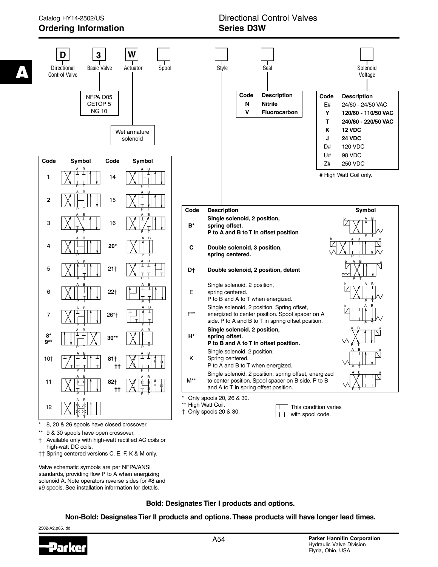

- \*\* 9 & 30 spools have open crossover.
- † Available only with high-watt rectified AC coils or high-watt DC coils.
- †† Spring centered versions C, E, F, K & M only.

Valve schematic symbols are per NFPA/ANSI standards, providing flow P to A when energizing solenoid A. Note operators reverse sides for #8 and #9 spools. See installation information for details.

**Bold: Designates Tier I products and options.**

**Non-Bold: Designates Tier II products and options. These products will have longer lead times.**

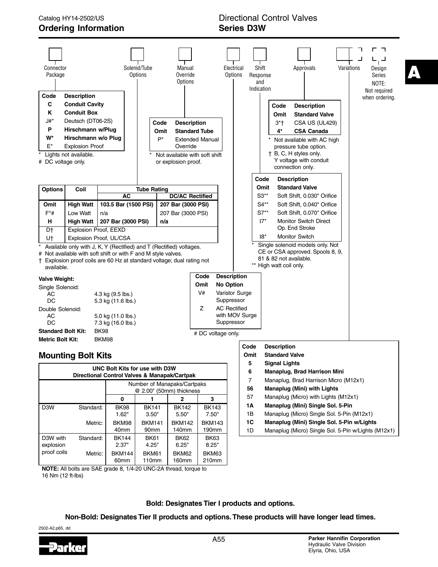

**NOTE:** All bolts are SAE grade 8, 1/4-20 UNC-2A thread, torque to 16 Nm (12 ft-lbs)

**Bold: Designates Tier I products and options.**

**Non-Bold: Designates Tier II products and options. These products will have longer lead times.**

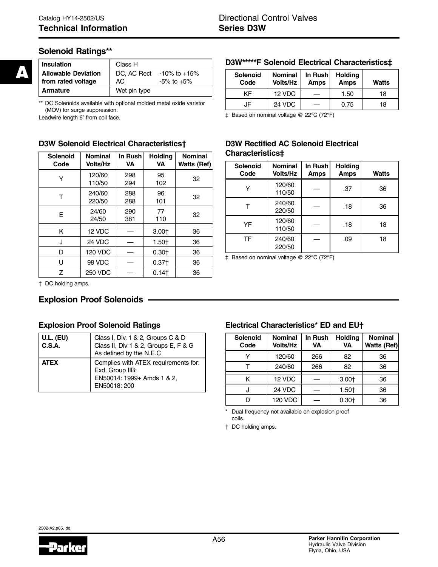# **Solenoid Ratings\*\***

| <b>Insulation</b>                                | Class H           |                                  |
|--------------------------------------------------|-------------------|----------------------------------|
| <b>Allowable Deviation</b><br>from rated voltage | DC, AC Rect<br>АC | -10% to +15%<br>$-5\%$ to $+5\%$ |
| <b>Armature</b>                                  | Wet pin type      |                                  |

\*\* DC Solenoids available with optional molded metal oxide varistor (MOV) for surge suppression.

Leadwire length 6" from coil face.

### **D3W Solenoid Electrical Characteristics†**

| Solenoid<br>Code | <b>Nominal</b><br><b>Volts/Hz</b> | In Rush<br><b>VA</b> | <b>Holding</b><br><b>VA</b> | <b>Nominal</b><br><b>Watts (Ref)</b> |
|------------------|-----------------------------------|----------------------|-----------------------------|--------------------------------------|
| Y                | 120/60<br>110/50                  | 298<br>294           | 95<br>102                   | 32                                   |
| т                | 240/60<br>220/50                  | 288<br>288           | 96<br>101                   | 32                                   |
| E                | 24/60<br>24/50                    | 290<br>381           | 77<br>110                   | 32                                   |
| Κ                | 12 VDC                            |                      | $3.00+$                     | 36                                   |
| J                | 24 VDC                            |                      | $1.50+$                     | 36                                   |
| D                | <b>120 VDC</b>                    |                      | $0.30+$                     | 36                                   |
| U                | 98 VDC                            |                      | $0.37+$                     | 36                                   |
| Z                | <b>250 VDC</b>                    |                      | 0.14                        | 36                                   |

#### **D3W\*\*\*\*\*F Solenoid Electrical Characteristics‡**

| Solenoid<br>Code | <b>Nominal</b><br><b>Volts/Hz</b> | In Rush<br>Amps | <b>Holding</b><br><b>Amps</b> | <b>Watts</b> |
|------------------|-----------------------------------|-----------------|-------------------------------|--------------|
| ĸΕ               | 12 VDC                            |                 | 1.50                          | 18           |
| JF               | 24 VDC                            |                 | 0.75                          | 18           |

‡ Based on nominal voltage @ 22°C (72°F)

## **D3W Rectified AC Solenoid Electrical Characteristics‡**

| Solenoid<br>Code | <b>Nominal</b><br><b>Volts/Hz</b> | In Rush<br><b>Amps</b> | Holding<br><b>Amps</b> | <b>Watts</b> |
|------------------|-----------------------------------|------------------------|------------------------|--------------|
|                  | 120/60<br>110/50                  |                        | .37                    | 36           |
|                  | 240/60<br>220/50                  |                        | .18                    | 36           |
| YF               | 120/60<br>110/50                  |                        | .18                    | 18           |
| <b>TF</b>        | 240/60<br>220/50                  |                        | .09                    | 18           |

‡ Based on nominal voltage @ 22°C (72°F)

† DC holding amps.

### **Explosion Proof Solenoids**

#### **Explosion Proof Solenoid Ratings**

| <b>U.L. (EU)</b><br>C.S.A. | Class I, Div. 1 & 2, Groups C & D<br>Class II, Div 1 & 2, Groups E, F & G<br>As defined by the N.E.C  |
|----------------------------|-------------------------------------------------------------------------------------------------------|
| <b>ATEX</b>                | Complies with ATEX requirements for:<br>Exd, Group IIB;<br>EN50014: 1999+ Amds 1 & 2,<br>EN50018: 200 |

# **Electrical Characteristics\* ED and EU†**

| <b>Solenoid</b><br>Code | <b>Nominal</b><br><b>Volts/Hz</b> | In Rush<br>VA | <b>Holding</b><br>VA | <b>Nominal</b><br>Watts (Ref) |
|-------------------------|-----------------------------------|---------------|----------------------|-------------------------------|
| v                       | 120/60                            | 266           | 82                   | 36                            |
|                         | 240/60                            | 266           | 82                   | 36                            |
| κ                       | 12 VDC                            |               | $3.00+$              | 36                            |
|                         | 24 VDC                            |               | $1.50+$              | 36                            |
|                         | <b>120 VDC</b>                    |               | $0.30+$              | 36                            |

Dual frequency not available on explosion proof coils.

† DC holding amps.

**A**

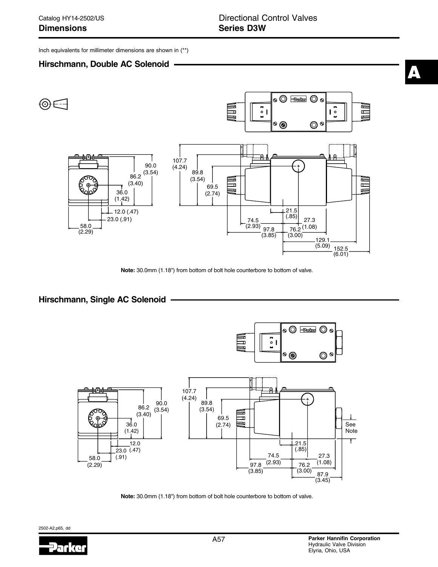Inch equivalents for millimeter dimensions are shown in (\*\*)

### **Hirschmann, Double AC Solenoid**



**Note:** 30.0mm (1.18") from bottom of bolt hole counterbore to bottom of valve.

### **Hirschmann, Single AC Solenoid**



**Note:** 30.0mm (1.18") from bottom of bolt hole counterbore to bottom of valve.

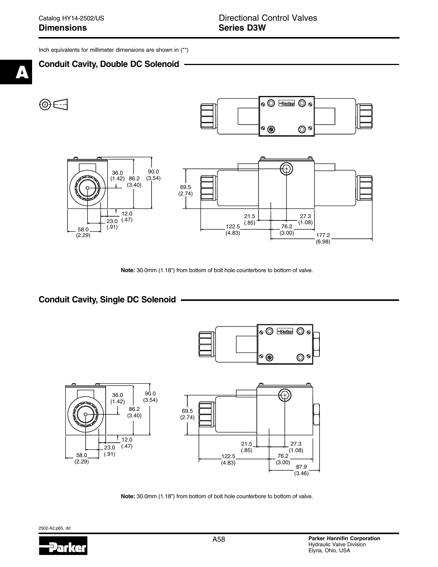Inch equivalents for millimeter dimensions are shown in (\*\*)







**Note:** 30.0mm (1.18") from bottom of bolt hole counterbore to bottom of valve.

## **Conduit Cavity, Single DC Solenoid**



**Note:** 30.0mm (1.18") from bottom of bolt hole counterbore to bottom of valve.

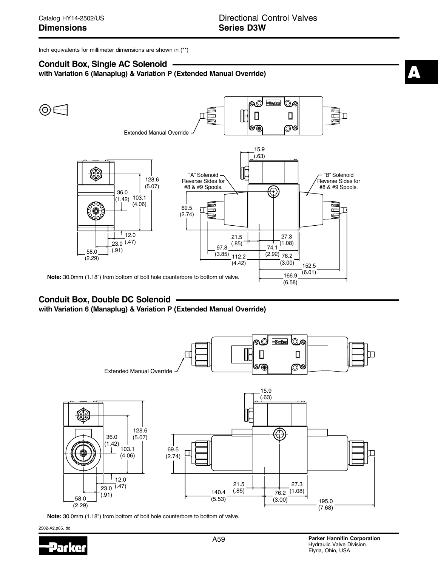Inch equivalents for millimeter dimensions are shown in (\*\*)

## **Conduit Box, Single AC Solenoid**

**with Variation 6 (Manaplug) & Variation P (Extended Manual Override)**



# **Conduit Box, Double DC Solenoid**

**with Variation 6 (Manaplug) & Variation P (Extended Manual Override)**



**Note:** 30.0mm (1.18") from bottom of bolt hole counterbore to bottom of valve.

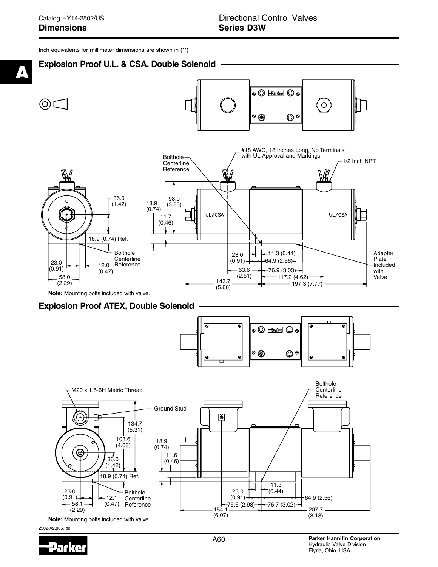Inch equivalents for millimeter dimensions are shown in (\*\*)



### **Explosion Proof ATEX, Double Solenoid**



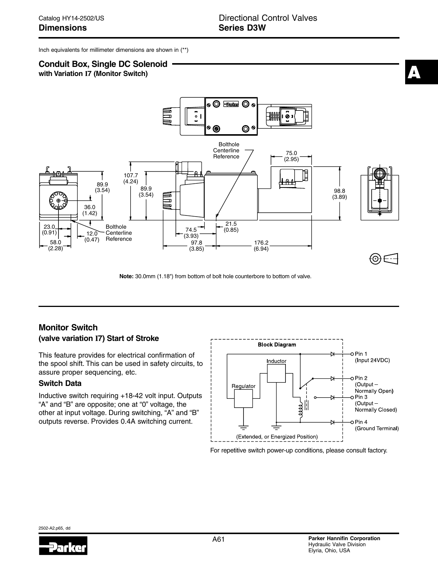Inch equivalents for millimeter dimensions are shown in (\*\*)

# **Conduit Box, Single DC Solenoid**

**with Variation I7 (Monitor Switch)**



**Note:** 30.0mm (1.18") from bottom of bolt hole counterbore to bottom of valve.

# **Monitor Switch**

#### **(valve variation I7) Start of Stroke**

This feature provides for electrical confirmation of the spool shift. This can be used in safety circuits, to assure proper sequencing, etc.

#### **Switch Data**

Inductive switch requiring +18-42 volt input. Outputs "A" and "B" are opposite; one at "0" voltage, the other at input voltage. During switching, "A" and "B" outputs reverse. Provides 0.4A switching current.



For repetitive switch power-up conditions, please consult factory.

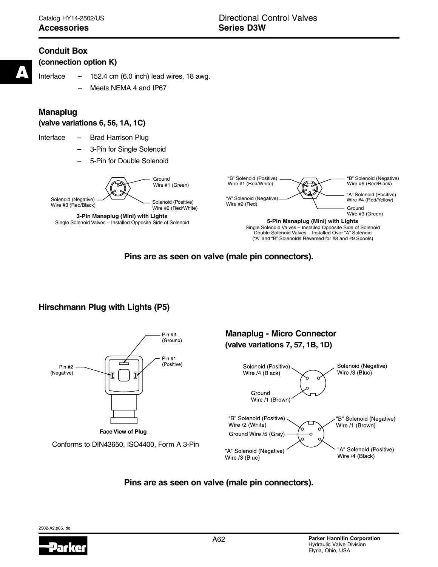# **Conduit Box**

**(connection option K)**

**A**

Interface  $-152.4$  cm (6.0 inch) lead wires, 18 awg.

Meets NEMA 4 and IP67

# **Manaplug**

**(valve variations 6, 56, 1A, 1C)**

- Interface Brad Harrison Plug
	- 3-Pin for Single Solenoid
	- 5-Pin for Double Solenoid



**Pins are as seen on valve (male pin connectors).**

# **Hirschmann Plug with Lights (P5)**



# **Pins are as seen on valve (male pin connectors).**

2502-A2.p65, dd